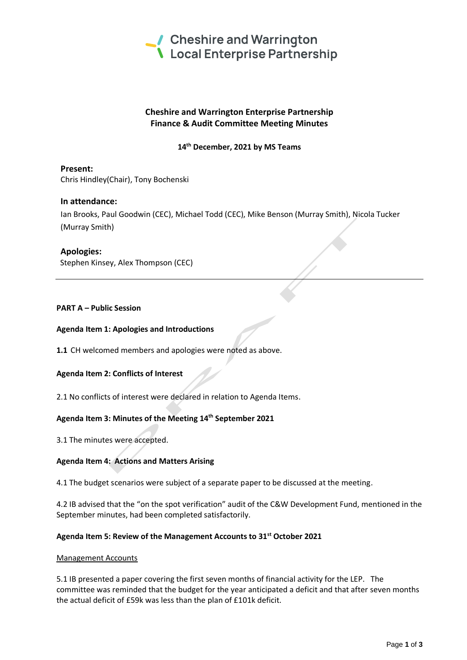

# **Cheshire and Warrington Enterprise Partnership Finance & Audit Committee Meeting Minutes**

**14th December, 2021 by MS Teams**

**Present:** Chris Hindley(Chair), Tony Bochenski

## **In attendance:**

Ian Brooks, Paul Goodwin (CEC), Michael Todd (CEC), Mike Benson (Murray Smith), Nicola Tucker (Murray Smith)

## **Apologies:**

Stephen Kinsey, Alex Thompson (CEC)

## **PART A – Public Session**

#### **Agenda Item 1: Apologies and Introductions**

**1.1** CH welcomed members and apologies were noted as above.

#### **Agenda Item 2: Conflicts of Interest**

2.1 No conflicts of interest were declared in relation to Agenda Items.

## **Agenda Item 3: Minutes of the Meeting 14th September 2021**

3.1 The minutes were accepted.

#### **Agenda Item 4: Actions and Matters Arising**

4.1 The budget scenarios were subject of a separate paper to be discussed at the meeting.

4.2 IB advised that the "on the spot verification" audit of the C&W Development Fund, mentioned in the September minutes, had been completed satisfactorily.

### **Agenda Item 5: Review of the Management Accounts to 31st October 2021**

#### Management Accounts

5.1 IB presented a paper covering the first seven months of financial activity for the LEP. The committee was reminded that the budget for the year anticipated a deficit and that after seven months the actual deficit of £59k was less than the plan of £101k deficit.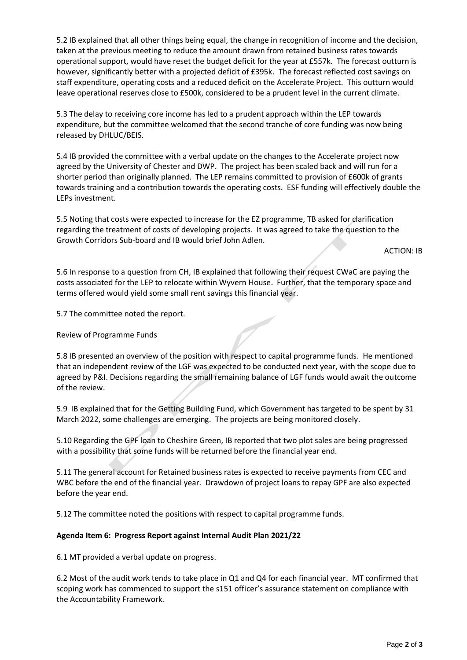5.2 IB explained that all other things being equal, the change in recognition of income and the decision, taken at the previous meeting to reduce the amount drawn from retained business rates towards operational support, would have reset the budget deficit for the year at £557k. The forecast outturn is however, significantly better with a projected deficit of £395k. The forecast reflected cost savings on staff expenditure, operating costs and a reduced deficit on the Accelerate Project. This outturn would leave operational reserves close to £500k, considered to be a prudent level in the current climate.

5.3 The delay to receiving core income has led to a prudent approach within the LEP towards expenditure, but the committee welcomed that the second tranche of core funding was now being released by DHLUC/BEIS.

5.4 IB provided the committee with a verbal update on the changes to the Accelerate project now agreed by the University of Chester and DWP. The project has been scaled back and will run for a shorter period than originally planned. The LEP remains committed to provision of £600k of grants towards training and a contribution towards the operating costs. ESF funding will effectively double the LEPs investment.

5.5 Noting that costs were expected to increase for the EZ programme, TB asked for clarification regarding the treatment of costs of developing projects. It was agreed to take the question to the Growth Corridors Sub-board and IB would brief John Adlen.

ACTION: IB

5.6 In response to a question from CH, IB explained that following their request CWaC are paying the costs associated for the LEP to relocate within Wyvern House. Further, that the temporary space and terms offered would yield some small rent savings this financial year.

5.7 The committee noted the report.

#### Review of Programme Funds

5.8 IB presented an overview of the position with respect to capital programme funds. He mentioned that an independent review of the LGF was expected to be conducted next year, with the scope due to agreed by P&I. Decisions regarding the small remaining balance of LGF funds would await the outcome of the review.

5.9 IB explained that for the Getting Building Fund, which Government has targeted to be spent by 31 March 2022, some challenges are emerging. The projects are being monitored closely.

5.10 Regarding the GPF loan to Cheshire Green, IB reported that two plot sales are being progressed with a possibility that some funds will be returned before the financial year end.

5.11 The general account for Retained business rates is expected to receive payments from CEC and WBC before the end of the financial year. Drawdown of project loans to repay GPF are also expected before the year end.

5.12 The committee noted the positions with respect to capital programme funds.

## **Agenda Item 6: Progress Report against Internal Audit Plan 2021/22**

6.1 MT provided a verbal update on progress.

6.2 Most of the audit work tends to take place in Q1 and Q4 for each financial year. MT confirmed that scoping work has commenced to support the s151 officer's assurance statement on compliance with the Accountability Framework.